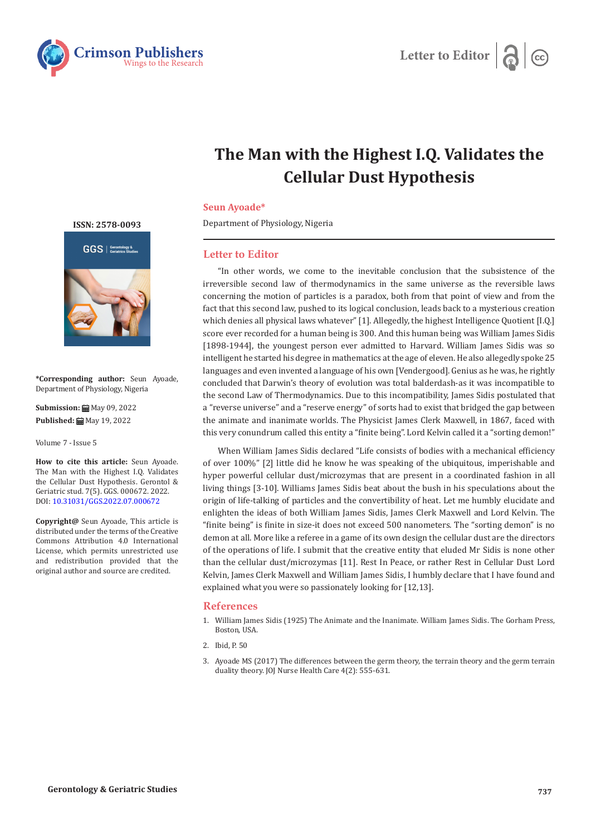



## **The Man with the Highest I.Q. Validates the Cellular Dust Hypothesis**

## **Seun Ayoade\***

Department of Physiology, Nigeria

## **Letter to Editor**

"In other words, we come to the inevitable conclusion that the subsistence of the irreversible second law of thermodynamics in the same universe as the reversible laws concerning the motion of particles is a paradox, both from that point of view and from the fact that this second law, pushed to its logical conclusion, leads back to a mysterious creation which denies all physical laws whatever" [1]. Allegedly, the highest Intelligence Quotient [I.Q.] score ever recorded for a human being is 300. And this human being was William James Sidis [1898-1944], the youngest person ever admitted to Harvard. William James Sidis was so intelligent he started his degree in mathematics at the age of eleven. He also allegedly spoke 25 languages and even invented a language of his own [Vendergood]. Genius as he was, he rightly concluded that Darwin's theory of evolution was total balderdash-as it was incompatible to the second Law of Thermodynamics. Due to this incompatibility, James Sidis postulated that a "reverse universe" and a "reserve energy" of sorts had to exist that bridged the gap between the animate and inanimate worlds. The Physicist James Clerk Maxwell, in 1867, faced with this very conundrum called this entity a "finite being". Lord Kelvin called it a "sorting demon!"

When William James Sidis declared "Life consists of bodies with a mechanical efficiency of over 100%" [2] little did he know he was speaking of the ubiquitous, imperishable and hyper powerful cellular dust/microzymas that are present in a coordinated fashion in all living things [3-10]. Williams James Sidis beat about the bush in his speculations about the origin of life-talking of particles and the convertibility of heat. Let me humbly elucidate and enlighten the ideas of both William James Sidis, James Clerk Maxwell and Lord Kelvin. The "finite being" is finite in size-it does not exceed 500 nanometers. The "sorting demon" is no demon at all. More like a referee in a game of its own design the cellular dust are the directors of the operations of life. I submit that the creative entity that eluded Mr Sidis is none other than the cellular dust/microzymas [11]. Rest In Peace, or rather Rest in Cellular Dust Lord Kelvin, James Clerk Maxwell and William James Sidis, I humbly declare that I have found and explained what you were so passionately looking for [12,13].

## **References**

- 1. William James Sidis (1925) The Animate and the Inanimate. William James Sidis. The Gorham Press, Boston, USA.
- 2. Ibid, P. 50
- 3. [Ayoade MS \(2017\) The differences between the germ theory, the terrain theory and the germ terrain](https://juniperpublishers.com/jojnhc/pdf/JOJNHC.MS.ID.555631.pdf) [duality theory. JOJ Nurse Health Care 4\(2\): 555-631.](https://juniperpublishers.com/jojnhc/pdf/JOJNHC.MS.ID.555631.pdf)

**[ISSN: 2578-0093](https://www.crimsonpublishers.com/ggs/)**



**\*Corresponding author:** Seun Ayoade, Department of Physiology, Nigeria

**Submission: 曲** May 09, 2022 **Published:** ■ May 19, 2022

Volume 7 - Issue 5

**How to cite this article:** Seun Ayoade. The Man with the Highest I.Q. Validates the Cellular Dust Hypothesis. Gerontol & Geriatric stud. 7(5). GGS. 000672. 2022. DOI: [10.31031/GGS.2022.07.000672](http://dx.doi.org/10.31031/GGS.2022.07.000672)

**Copyright@** Seun Ayoade, This article is distributed under the terms of the Creative Commons Attribution 4.0 International License, which permits unrestricted use and redistribution provided that the original author and source are credited.